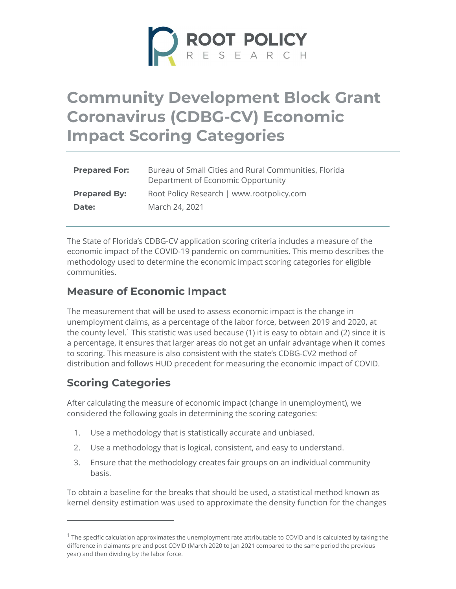

# Community Development Block Grant Coronavirus (CDBG-CV) Economic Impact Scoring Categories

| <b>Prepared For:</b> | Bureau of Small Cities and Rural Communities, Florida<br>Department of Economic Opportunity |
|----------------------|---------------------------------------------------------------------------------------------|
| <b>Prepared By:</b>  | Root Policy Research   www.rootpolicy.com                                                   |
| Date:                | March 24, 2021                                                                              |

The State of Florida's CDBG-CV application scoring criteria includes a measure of the economic impact of the COVID-19 pandemic on communities. This memo describes the methodology used to determine the economic impact scoring categories for eligible communities.

### Measure of Economic Impact

The measurement that will be used to assess economic impact is the change in unemployment claims, as a percentage of the labor force, between 2019 and 2020, at the county level.<sup>1</sup> This statistic was used because (1) it is easy to obtain and (2) since it is a percentage, it ensures that larger areas do not get an unfair advantage when it comes to scoring. This measure is also consistent with the state's CDBG-CV2 method of distribution and follows HUD precedent for measuring the economic impact of COVID.

## Scoring Categories

After calculating the measure of economic impact (change in unemployment), we considered the following goals in determining the scoring categories:

- 1. Use a methodology that is statistically accurate and unbiased.
- 2. Use a methodology that is logical, consistent, and easy to understand.
- 3. Ensure that the methodology creates fair groups on an individual community basis.

To obtain a baseline for the breaks that should be used, a statistical method known as kernel density estimation was used to approximate the density function for the changes

 $^1$  The specific calculation approximates the unemployment rate attributable to COVID and is calculated by taking the difference in claimants pre and post COVID (March 2020 to Jan 2021 compared to the same period the previous year) and then dividing by the labor force.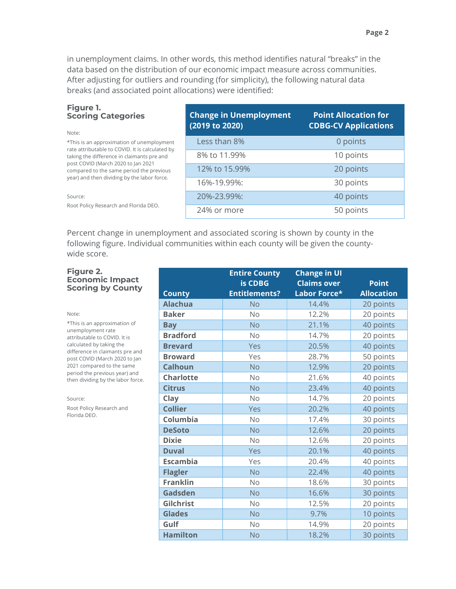in unemployment claims. In other words, this method identifies natural "breaks" in the data based on the distribution of our economic impact measure across communities. After adjusting for outliers and rounding (for simplicity), the following natural data breaks (and associated point allocations) were identified:

## Figure 1.

| <b>Scoring Categories</b><br>Note:                                                            | <b>Change in Unemployment</b><br>(2019 to 2020) | <b>Point Allocation for</b><br><b>CDBG-CV Applications</b> |
|-----------------------------------------------------------------------------------------------|-------------------------------------------------|------------------------------------------------------------|
| *This is an approximation of unemployment                                                     | Less than 8%                                    | 0 points                                                   |
| rate attributable to COVID. It is calculated by<br>taking the difference in claimants pre and | 8% to 11.99%                                    | 10 points                                                  |
| post COVID (March 2020 to Jan 2021<br>compared to the same period the previous                | 12% to 15.99%                                   | 20 points                                                  |
| year) and then dividing by the labor force.                                                   | 16%-19.99%:                                     | 30 points                                                  |
| Source:                                                                                       | 20%-23.99%:                                     | 40 points                                                  |
| Root Policy Research and Florida DEO.                                                         | 24% or more                                     | 50 points                                                  |

Percent change in unemployment and associated scoring is shown by county in the following figure. Individual communities within each county will be given the countywide score.

### Figure 2. **Economic In** Scoring by C

| npact<br>County                      | <b>County</b>    | is CDBG<br><b>Entitlements?</b> | <b>Claims over</b><br>Labor Force* | <b>Point</b><br><b>Allocation</b> |
|--------------------------------------|------------------|---------------------------------|------------------------------------|-----------------------------------|
| nation of<br>D. It is                | <b>Alachua</b>   | <b>No</b>                       | 14.4%                              | 20 points                         |
|                                      | <b>Baker</b>     | <b>No</b>                       | 12.2%                              | 20 points                         |
|                                      | <b>Bay</b>       | <b>No</b>                       | 21.1%                              | 40 points                         |
|                                      | <b>Bradford</b>  | <b>No</b>                       | 14.7%                              | 20 points                         |
| the                                  | <b>Brevard</b>   | Yes                             | 20.5%                              | 40 points                         |
| nts pre and<br>2020 to Jan           | <b>Broward</b>   | Yes                             | 28.7%                              | 50 points                         |
| he same<br>year) and<br>labor force. | <b>Calhoun</b>   | <b>No</b>                       | 12.9%                              | 20 points                         |
|                                      | <b>Charlotte</b> | <b>No</b>                       | 21.6%                              | 40 points                         |
|                                      | <b>Citrus</b>    | <b>No</b>                       | 23.4%                              | 40 points                         |
|                                      | Clay             | <b>No</b>                       | 14.7%                              | 20 points                         |
| h and                                | <b>Collier</b>   | Yes                             | 20.2%                              | 40 points                         |
|                                      | Columbia         | <b>No</b>                       | 17.4%                              | 30 points                         |
|                                      | <b>DeSoto</b>    | <b>No</b>                       | 12.6%                              | 20 points                         |
|                                      | <b>Dixie</b>     | <b>No</b>                       | 12.6%                              | 20 points                         |
|                                      | <b>Duval</b>     | Yes                             | 20.1%                              | 40 points                         |
|                                      | <b>Escambia</b>  | Yes                             | 20.4%                              | 40 points                         |
|                                      | <b>Flagler</b>   | <b>No</b>                       | 22.4%                              | 40 points                         |
|                                      | <b>Franklin</b>  | <b>No</b>                       | 18.6%                              | 30 points                         |
|                                      | Gadsden          | <b>No</b>                       | 16.6%                              | 30 points                         |
|                                      | Gilchrist        | No                              | 12.5%                              | 20 points                         |
|                                      | <b>Glades</b>    | <b>No</b>                       | 9.7%                               | 10 points                         |
|                                      | Gulf             | <b>No</b>                       | 14.9%                              | 20 points                         |
|                                      | <b>Hamilton</b>  | N <sub>o</sub>                  | 18.2%                              | 30 points                         |

Entire County

Change in UI

## Note:

\*This is an approxim unemployment rate attributable to COVII calculated by taking difference in claimar post COVID (March 2 2021 compared to th period the previous then dividing by the

Source:

Root Policy Research Florida DEO.